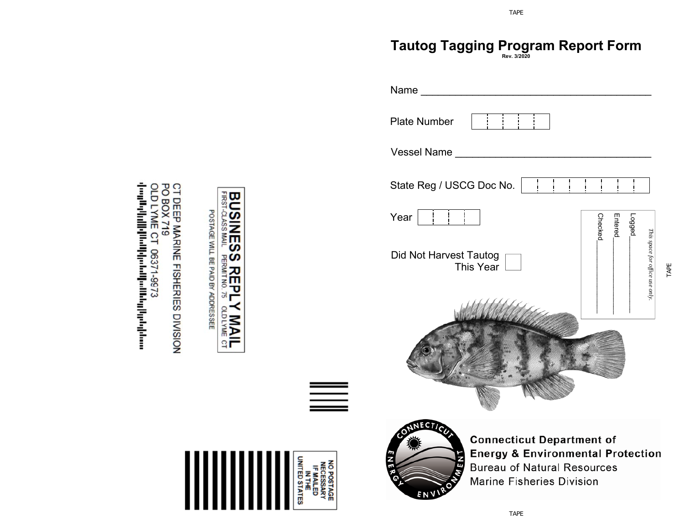## **Tautog Tagging Program Report Form Rev. 3/2020**

*TAPE*



OLD LYME CT 06371-9973 PO BOX CT DEEP MARINE FISHERIES DIVISION իայքերի<sub>ն</sub>ի կանգնահանգումների կանառ 719

멷

**TIVN SSVTO-SINES** 

**S REPL**<br>PERMIT NO. 75

**PERSON** 

**Y MAIL** 

POSTAGE WILL BE PAID BY ADDRESSEE